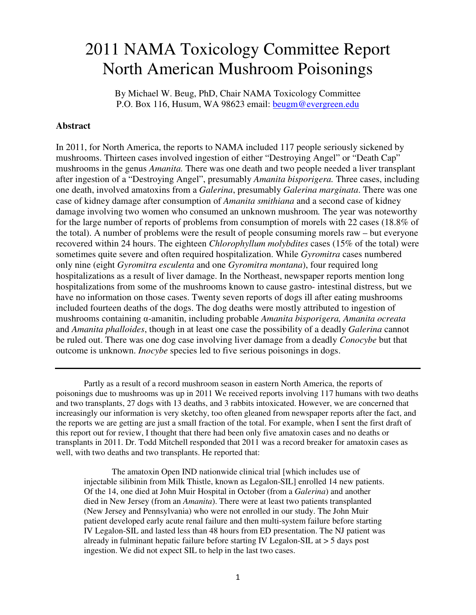# 2011 NAMA Toxicology Committee Report North American Mushroom Poisonings

By Michael W. Beug, PhD, Chair NAMA Toxicology Committee P.O. Box 116, Husum, WA 98623 email: beugm@evergreen.edu

### **Abstract**

In 2011, for North America, the reports to NAMA included 117 people seriously sickened by mushrooms. Thirteen cases involved ingestion of either "Destroying Angel" or "Death Cap" mushrooms in the genus *Amanita.* There was one death and two people needed a liver transplant after ingestion of a "Destroying Angel", presumably *Amanita bisporigera.* Three cases, including one death, involved amatoxins from a *Galerina*, presumably *Galerina marginata*. There was one case of kidney damage after consumption of *Amanita smithiana* and a second case of kidney damage involving two women who consumed an unknown mushroom*.* The year was noteworthy for the large number of reports of problems from consumption of morels with 22 cases (18.8% of the total). A number of problems were the result of people consuming morels raw – but everyone recovered within 24 hours. The eighteen *Chlorophyllum molybdites* cases (15% of the total) were sometimes quite severe and often required hospitalization. While *Gyromitra* cases numbered only nine (eight *Gyromitra esculenta* and one *Gyromitra montana*), four required long hospitalizations as a result of liver damage. In the Northeast, newspaper reports mention long hospitalizations from some of the mushrooms known to cause gastro- intestinal distress, but we have no information on those cases. Twenty seven reports of dogs ill after eating mushrooms included fourteen deaths of the dogs. The dog deaths were mostly attributed to ingestion of mushrooms containing α-amanitin, including probable *Amanita bisporigera, Amanita ocreata* and *Amanita phalloides*, though in at least one case the possibility of a deadly *Galerina* cannot be ruled out. There was one dog case involving liver damage from a deadly *Conocybe* but that outcome is unknown. *Inocybe* species led to five serious poisonings in dogs.

 Partly as a result of a record mushroom season in eastern North America, the reports of poisonings due to mushrooms was up in 2011 We received reports involving 117 humans with two deaths and two transplants, 27 dogs with 13 deaths, and 3 rabbits intoxicated. However, we are concerned that increasingly our information is very sketchy, too often gleaned from newspaper reports after the fact, and the reports we are getting are just a small fraction of the total. For example, when I sent the first draft of this report out for review, I thought that there had been only five amatoxin cases and no deaths or transplants in 2011. Dr. Todd Mitchell responded that 2011 was a record breaker for amatoxin cases as well, with two deaths and two transplants. He reported that:

The amatoxin Open IND nationwide clinical trial [which includes use of injectable silibinin from Milk Thistle, known as Legalon-SIL] enrolled 14 new patients. Of the 14, one died at John Muir Hospital in October (from a *Galerina*) and another died in New Jersey (from an *Amanita*). There were at least two patients transplanted (New Jersey and Pennsylvania) who were not enrolled in our study. The John Muir patient developed early acute renal failure and then multi-system failure before starting IV Legalon-SIL and lasted less than 48 hours from ED presentation. The NJ patient was already in fulminant hepatic failure before starting IV Legalon-SIL at > 5 days post ingestion. We did not expect SIL to help in the last two cases.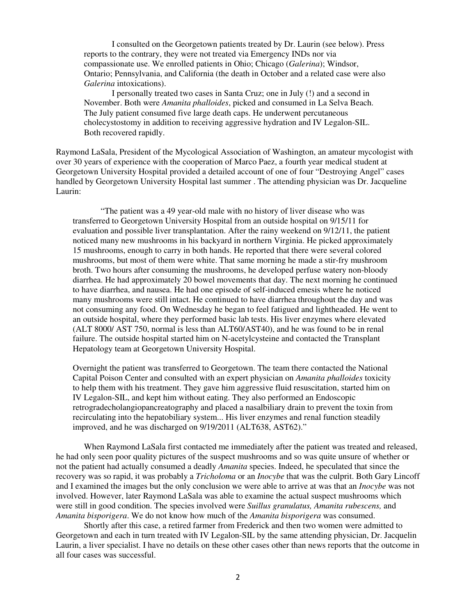I consulted on the Georgetown patients treated by Dr. Laurin (see below). Press reports to the contrary, they were not treated via Emergency INDs nor via compassionate use. We enrolled patients in Ohio; Chicago (*Galerina*); Windsor, Ontario; Pennsylvania, and California (the death in October and a related case were also *Galerina* intoxications).

I personally treated two cases in Santa Cruz; one in July (!) and a second in November. Both were *Amanita phalloides*, picked and consumed in La Selva Beach. The July patient consumed five large death caps. He underwent percutaneous cholecystostomy in addition to receiving aggressive hydration and IV Legalon-SIL. Both recovered rapidly.

Raymond LaSala, President of the Mycological Association of Washington, an amateur mycologist with over 30 years of experience with the cooperation of Marco Paez, a fourth year medical student at Georgetown University Hospital provided a detailed account of one of four "Destroying Angel" cases handled by Georgetown University Hospital last summer . The attending physician was Dr. Jacqueline Laurin:

"The patient was a 49 year-old male with no history of liver disease who was transferred to Georgetown University Hospital from an outside hospital on 9/15/11 for evaluation and possible liver transplantation. After the rainy weekend on 9/12/11, the patient noticed many new mushrooms in his backyard in northern Virginia. He picked approximately 15 mushrooms, enough to carry in both hands. He reported that there were several colored mushrooms, but most of them were white. That same morning he made a stir-fry mushroom broth. Two hours after consuming the mushrooms, he developed perfuse watery non-bloody diarrhea. He had approximately 20 bowel movements that day. The next morning he continued to have diarrhea, and nausea. He had one episode of self-induced emesis where he noticed many mushrooms were still intact. He continued to have diarrhea throughout the day and was not consuming any food. On Wednesday he began to feel fatigued and lightheaded. He went to an outside hospital, where they performed basic lab tests. His liver enzymes where elevated (ALT 8000/ AST 750, normal is less than ALT60/AST40), and he was found to be in renal failure. The outside hospital started him on N-acetylcysteine and contacted the Transplant Hepatology team at Georgetown University Hospital.

Overnight the patient was transferred to Georgetown. The team there contacted the National Capital Poison Center and consulted with an expert physician on *Amanita phalloides* toxicity to help them with his treatment. They gave him aggressive fluid resuscitation, started him on IV Legalon-SIL, and kept him without eating. They also performed an Endoscopic retrogradecholangiopancreatography and placed a nasalbiliary drain to prevent the toxin from recirculating into the hepatobiliary system... His liver enzymes and renal function steadily improved, and he was discharged on 9/19/2011 (ALT638, AST62)."

 When Raymond LaSala first contacted me immediately after the patient was treated and released, he had only seen poor quality pictures of the suspect mushrooms and so was quite unsure of whether or not the patient had actually consumed a deadly *Amanita* species. Indeed, he speculated that since the recovery was so rapid, it was probably a *Tricholoma* or an *Inocybe* that was the culprit. Both Gary Lincoff and I examined the images but the only conclusion we were able to arrive at was that an *Inocybe* was not involved. However, later Raymond LaSala was able to examine the actual suspect mushrooms which were still in good condition. The species involved were *Suillus granulatus, Amanita rubescens,* and *Amanita bisporigera*. We do not know how much of the *Amanita bisporigera* was consumed.

 Shortly after this case, a retired farmer from Frederick and then two women were admitted to Georgetown and each in turn treated with IV Legalon-SIL by the same attending physician, Dr. Jacquelin Laurin, a liver specialist. I have no details on these other cases other than news reports that the outcome in all four cases was successful.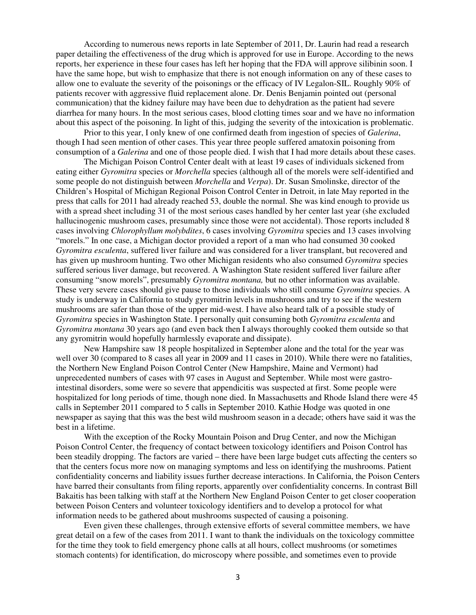According to numerous news reports in late September of 2011, Dr. Laurin had read a research paper detailing the effectiveness of the drug which is approved for use in Europe. According to the news reports, her experience in these four cases has left her hoping that the FDA will approve silibinin soon. I have the same hope, but wish to emphasize that there is not enough information on any of these cases to allow one to evaluate the severity of the poisonings or the efficacy of IV Legalon-SIL. Roughly 90% of patients recover with aggressive fluid replacement alone. Dr. Denis Benjamin pointed out (personal communication) that the kidney failure may have been due to dehydration as the patient had severe diarrhea for many hours. In the most serious cases, blood clotting times soar and we have no information about this aspect of the poisoning. In light of this, judging the severity of the intoxication is problematic.

Prior to this year, I only knew of one confirmed death from ingestion of species of *Galerina*, though I had seen mention of other cases. This year three people suffered amatoxin poisoning from consumption of a *Galerina* and one of those people died. I wish that I had more details about these cases.

The Michigan Poison Control Center dealt with at least 19 cases of individuals sickened from eating either *Gyromitra* species or *Morchella* species (although all of the morels were self-identified and some people do not distinguish between *Morchella* and *Verpa*). Dr. Susan Smolinske, director of the Children's Hospital of Michigan Regional Poison Control Center in Detroit, in late May reported in the press that calls for 2011 had already reached 53, double the normal. She was kind enough to provide us with a spread sheet including 31 of the most serious cases handled by her center last year (she excluded hallucinogenic mushroom cases, presumably since those were not accidental). Those reports included 8 cases involving *Chlorophyllum molybdites*, 6 cases involving *Gyromitra* species and 13 cases involving "morels." In one case, a Michigan doctor provided a report of a man who had consumed 30 cooked *Gyromitra esculenta*, suffered liver failure and was considered for a liver transplant, but recovered and has given up mushroom hunting. Two other Michigan residents who also consumed *Gyromitra* species suffered serious liver damage, but recovered. A Washington State resident suffered liver failure after consuming "snow morels", presumably *Gyromitra montana,* but no other information was available. These very severe cases should give pause to those individuals who still consume *Gyromitra* species. A study is underway in California to study gyromitrin levels in mushrooms and try to see if the western mushrooms are safer than those of the upper mid-west. I have also heard talk of a possible study of *Gyromitra* species in Washington State. I personally quit consuming both *Gyromitra esculenta* and *Gyromitra montana* 30 years ago (and even back then I always thoroughly cooked them outside so that any gyromitrin would hopefully harmlessly evaporate and dissipate).

New Hampshire saw 18 people hospitalized in September alone and the total for the year was well over 30 (compared to 8 cases all year in 2009 and 11 cases in 2010). While there were no fatalities, the Northern New England Poison Control Center (New Hampshire, Maine and Vermont) had unprecedented numbers of cases with 97 cases in August and September. While most were gastrointestinal disorders, some were so severe that appendicitis was suspected at first. Some people were hospitalized for long periods of time, though none died. In Massachusetts and Rhode Island there were 45 calls in September 2011 compared to 5 calls in September 2010. Kathie Hodge was quoted in one newspaper as saying that this was the best wild mushroom season in a decade; others have said it was the best in a lifetime.

With the exception of the Rocky Mountain Poison and Drug Center, and now the Michigan Poison Control Center, the frequency of contact between toxicology identifiers and Poison Control has been steadily dropping. The factors are varied – there have been large budget cuts affecting the centers so that the centers focus more now on managing symptoms and less on identifying the mushrooms. Patient confidentiality concerns and liability issues further decrease interactions. In California, the Poison Centers have barred their consultants from filing reports, apparently over confidentiality concerns. In contrast Bill Bakaitis has been talking with staff at the Northern New England Poison Center to get closer cooperation between Poison Centers and volunteer toxicology identifiers and to develop a protocol for what information needs to be gathered about mushrooms suspected of causing a poisoning.

Even given these challenges, through extensive efforts of several committee members, we have great detail on a few of the cases from 2011. I want to thank the individuals on the toxicology committee for the time they took to field emergency phone calls at all hours, collect mushrooms (or sometimes stomach contents) for identification, do microscopy where possible, and sometimes even to provide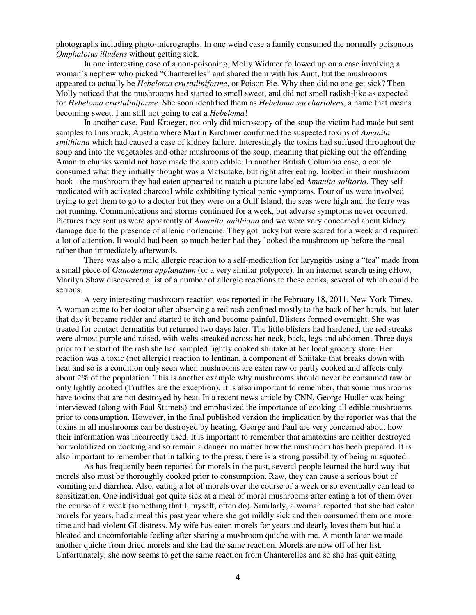photographs including photo-micrographs. In one weird case a family consumed the normally poisonous *Omphalotus illudens* without getting sick.

 In one interesting case of a non-poisoning, Molly Widmer followed up on a case involving a woman's nephew who picked "Chanterelles" and shared them with his Aunt, but the mushrooms appeared to actually be *Hebeloma crustuliniforme*, or Poison Pie. Why then did no one get sick? Then Molly noticed that the mushrooms had started to smell sweet, and did not smell radish-like as expected for *Hebeloma crustuliniforme*. She soon identified them as *Hebeloma sacchariolens*, a name that means becoming sweet. I am still not going to eat a *Hebeloma*!

In another case, Paul Kroeger, not only did microscopy of the soup the victim had made but sent samples to Innsbruck, Austria where Martin Kirchmer confirmed the suspected toxins of *Amanita smithiana* which had caused a case of kidney failure. Interestingly the toxins had suffused throughout the soup and into the vegetables and other mushrooms of the soup, meaning that picking out the offending Amanita chunks would not have made the soup edible. In another British Columbia case, a couple consumed what they initially thought was a Matsutake, but right after eating, looked in their mushroom book - the mushroom they had eaten appeared to match a picture labeled *Amanita solitaria*. They selfmedicated with activated charcoal while exhibiting typical panic symptoms. Four of us were involved trying to get them to go to a doctor but they were on a Gulf Island, the seas were high and the ferry was not running. Communications and storms continued for a week, but adverse symptoms never occurred. Pictures they sent us were apparently of *Amanita smithiana* and we were very concerned about kidney damage due to the presence of allenic norleucine. They got lucky but were scared for a week and required a lot of attention. It would had been so much better had they looked the mushroom up before the meal rather than immediately afterwards.

There was also a mild allergic reaction to a self-medication for laryngitis using a "tea" made from a small piece of *Ganoderma applanatum* (or a very similar polypore)*.* In an internet search using eHow, Marilyn Shaw discovered a list of a number of allergic reactions to these conks, several of which could be serious.

A very interesting mushroom reaction was reported in the February 18, 2011, New York Times. A woman came to her doctor after observing a red rash confined mostly to the back of her hands, but later that day it became redder and started to itch and become painful. Blisters formed overnight. She was treated for contact dermatitis but returned two days later. The little blisters had hardened, the red streaks were almost purple and raised, with welts streaked across her neck, back, legs and abdomen. Three days prior to the start of the rash she had sampled lightly cooked shiitake at her local grocery store. Her reaction was a toxic (not allergic) reaction to lentinan, a component of Shiitake that breaks down with heat and so is a condition only seen when mushrooms are eaten raw or partly cooked and affects only about 2% of the population. This is another example why mushrooms should never be consumed raw or only lightly cooked (Truffles are the exception). It is also important to remember, that some mushrooms have toxins that are not destroyed by heat. In a recent news article by CNN, George Hudler was being interviewed (along with Paul Stamets) and emphasized the importance of cooking all edible mushrooms prior to consumption. However, in the final published version the implication by the reporter was that the toxins in all mushrooms can be destroyed by heating. George and Paul are very concerned about how their information was incorrectly used. It is important to remember that amatoxins are neither destroyed nor volatilized on cooking and so remain a danger no matter how the mushroom has been prepared. It is also important to remember that in talking to the press, there is a strong possibility of being misquoted.

As has frequently been reported for morels in the past, several people learned the hard way that morels also must be thoroughly cooked prior to consumption. Raw, they can cause a serious bout of vomiting and diarrhea. Also, eating a lot of morels over the course of a week or so eventually can lead to sensitization. One individual got quite sick at a meal of morel mushrooms after eating a lot of them over the course of a week (something that I, myself, often do). Similarly, a woman reported that she had eaten morels for years, had a meal this past year where she got mildly sick and then consumed them one more time and had violent GI distress. My wife has eaten morels for years and dearly loves them but had a bloated and uncomfortable feeling after sharing a mushroom quiche with me. A month later we made another quiche from dried morels and she had the same reaction. Morels are now off of her list. Unfortunately, she now seems to get the same reaction from Chanterelles and so she has quit eating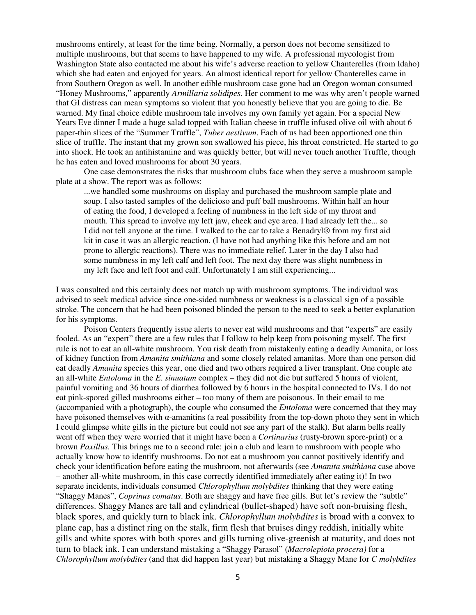mushrooms entirely, at least for the time being. Normally, a person does not become sensitized to multiple mushrooms, but that seems to have happened to my wife. A professional mycologist from Washington State also contacted me about his wife's adverse reaction to yellow Chanterelles (from Idaho) which she had eaten and enjoyed for years. An almost identical report for yellow Chanterelles came in from Southern Oregon as well. In another edible mushroom case gone bad an Oregon woman consumed "Honey Mushrooms," apparently *Armillaria solidipes.* Her comment to me was why aren't people warned that GI distress can mean symptoms so violent that you honestly believe that you are going to die. Be warned. My final choice edible mushroom tale involves my own family yet again. For a special New Years Eve dinner I made a huge salad topped with Italian cheese in truffle infused olive oil with about 6 paper-thin slices of the "Summer Truffle", *Tuber aestivum*. Each of us had been apportioned one thin slice of truffle. The instant that my grown son swallowed his piece, his throat constricted. He started to go into shock. He took an antihistamine and was quickly better, but will never touch another Truffle, though he has eaten and loved mushrooms for about 30 years.

One case demonstrates the risks that mushroom clubs face when they serve a mushroom sample plate at a show. The report was as follows:

...we handled some mushrooms on display and purchased the mushroom sample plate and soup. I also tasted samples of the delicioso and puff ball mushrooms. Within half an hour of eating the food, I developed a feeling of numbness in the left side of my throat and mouth. This spread to involve my left jaw, cheek and eye area. I had already left the... so I did not tell anyone at the time. I walked to the car to take a Benadryl® from my first aid kit in case it was an allergic reaction. (I have not had anything like this before and am not prone to allergic reactions). There was no immediate relief. Later in the day I also had some numbness in my left calf and left foot. The next day there was slight numbness in my left face and left foot and calf. Unfortunately I am still experiencing...

I was consulted and this certainly does not match up with mushroom symptoms. The individual was advised to seek medical advice since one-sided numbness or weakness is a classical sign of a possible stroke. The concern that he had been poisoned blinded the person to the need to seek a better explanation for his symptoms.

 Poison Centers frequently issue alerts to never eat wild mushrooms and that "experts" are easily fooled. As an "expert" there are a few rules that I follow to help keep from poisoning myself. The first rule is not to eat an all-white mushroom. You risk death from mistakenly eating a deadly Amanita, or loss of kidney function from *Amanita smithiana* and some closely related amanitas. More than one person did eat deadly *Amanita* species this year, one died and two others required a liver transplant. One couple ate an all-white *Entoloma* in the *E. sinuatum* complex – they did not die but suffered 5 hours of violent, painful vomiting and 36 hours of diarrhea followed by 6 hours in the hospital connected to IVs. I do not eat pink-spored gilled mushrooms either – too many of them are poisonous. In their email to me (accompanied with a photograph), the couple who consumed the *Entoloma* were concerned that they may have poisoned themselves with  $\alpha$ -amanitins (a real possibility from the top-down photo they sent in which I could glimpse white gills in the picture but could not see any part of the stalk). But alarm bells really went off when they were worried that it might have been a *Cortinarius* (rusty-brown spore-print) or a brown *Paxillus.* This brings me to a second rule: join a club and learn to mushroom with people who actually know how to identify mushrooms. Do not eat a mushroom you cannot positively identify and check your identification before eating the mushroom, not afterwards (see *Amanita smithiana* case above – another all-white mushroom, in this case correctly identified immediately after eating it)! In two separate incidents, individuals consumed *Chlorophyllum molybdites* thinking that they were eating "Shaggy Manes", *Coprinus comatus*. Both are shaggy and have free gills. But let's review the "subtle" differences. Shaggy Manes are tall and cylindrical (bullet-shaped) have soft non-bruising flesh, black spores, and quickly turn to black ink. *Chlorophyllum molybdites* is broad with a convex to plane cap, has a distinct ring on the stalk, firm flesh that bruises dingy reddish, initially white gills and white spores with both spores and gills turning olive-greenish at maturity, and does not turn to black ink. I can understand mistaking a "Shaggy Parasol" (*Macrolepiota procera)* for a *Chlorophyllum molybdites* (and that did happen last year) but mistaking a Shaggy Mane for *C molybdites*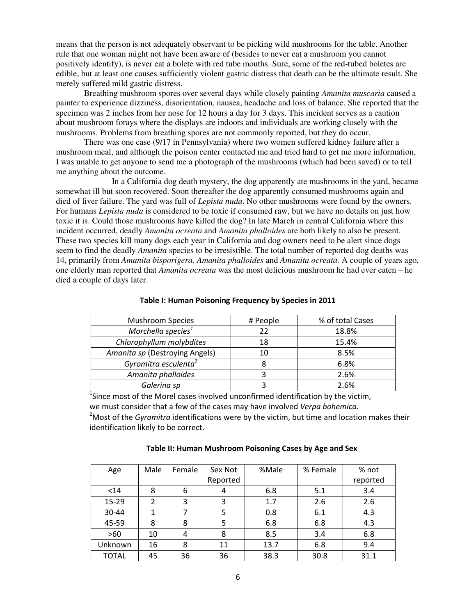means that the person is not adequately observant to be picking wild mushrooms for the table. Another rule that one woman might not have been aware of (besides to never eat a mushroom you cannot positively identify), is never eat a bolete with red tube mouths. Sure, some of the red-tubed boletes are edible, but at least one causes sufficiently violent gastric distress that death can be the ultimate result. She merely suffered mild gastric distress.

 Breathing mushroom spores over several days while closely painting *Amanita muscaria* caused a painter to experience dizziness, disorientation, nausea, headache and loss of balance. She reported that the specimen was 2 inches from her nose for 12 hours a day for 3 days. This incident serves as a caution about mushroom forays where the displays are indoors and individuals are working closely with the mushrooms. Problems from breathing spores are not commonly reported, but they do occur.

 There was one case (9/17 in Pennsylvania) where two women suffered kidney failure after a mushroom meal, and although the poison center contacted me and tried hard to get me more information, I was unable to get anyone to send me a photograph of the mushrooms (which had been saved) or to tell me anything about the outcome.

 In a California dog death mystery, the dog apparently ate mushrooms in the yard, became somewhat ill but soon recovered. Soon thereafter the dog apparently consumed mushrooms again and died of liver failure. The yard was full of *Lepista nuda*. No other mushrooms were found by the owners. For humans *Lepista nuda* is considered to be toxic if consumed raw, but we have no details on just how toxic it is. Could those mushrooms have killed the dog? In late March in central California where this incident occurred, deadly *Amanita ocreata* and *Amanita phalloides* are both likely to also be present. These two species kill many dogs each year in California and dog owners need to be alert since dogs seem to find the deadly *Amanita* species to be irresistible. The total number of reported dog deaths was 14, primarily from *Amanita bisporigera, Amanita phalloides* and *Amanita ocreata.* A couple of years ago, one elderly man reported that *Amanita ocreata* was the most delicious mushroom he had ever eaten – he died a couple of days later.

| # People | % of total Cases |
|----------|------------------|
| 22       | 18.8%            |
| 18       | 15.4%            |
| 10       | 8.5%             |
| 8        | 6.8%             |
|          | 2.6%             |
|          | 2.6%             |
|          |                  |

#### Table I: Human Poisoning Frequency by Species in 2011

 $\frac{1}{2}$ Since most of the Morel cases involved unconfirmed identification by the victim, we must consider that a few of the cases may have involved Verpa bohemica.  $<sup>2</sup>$ Most of the *Gyromitra* identifications were by the victim, but time and location makes their</sup> identification likely to be correct.

| Age          | Male | Female | Sex Not  | %Male | % Female | % not    |
|--------------|------|--------|----------|-------|----------|----------|
|              |      |        | Reported |       |          | reported |
| $14$         | 8    | 6      | 4        | 6.8   | 5.1      | 3.4      |
| 15-29        | 2    | 3      | 3        | 1.7   | 2.6      | 2.6      |
| 30-44        |      |        | 5        | 0.8   | 6.1      | 4.3      |
| 45-59        | 8    | 8      | 5        | 6.8   | 6.8      | 4.3      |
| >60          | 10   | 4      | 8        | 8.5   | 3.4      | 6.8      |
| Unknown      | 16   | 8      | 11       | 13.7  | 6.8      | 9.4      |
| <b>TOTAL</b> | 45   | 36     | 36       | 38.3  | 30.8     | 31.1     |

#### Table II: Human Mushroom Poisoning Cases by Age and Sex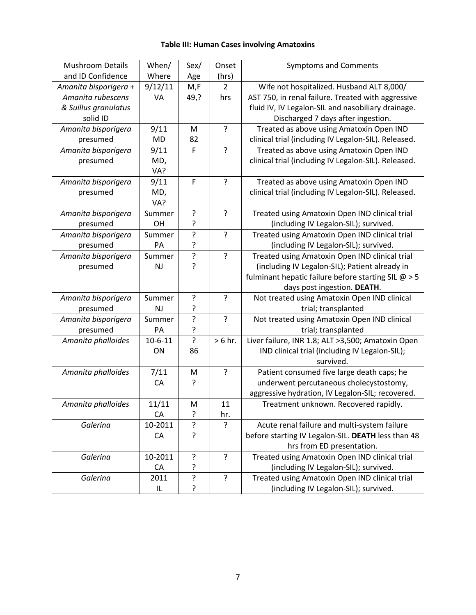## Table III: Human Cases involving Amatoxins

| <b>Mushroom Details</b> | When/         | Sex/           | Onset          | <b>Symptoms and Comments</b>                         |
|-------------------------|---------------|----------------|----------------|------------------------------------------------------|
| and ID Confidence       | Where         | Age            | (hrs)          |                                                      |
| Amanita bisporigera +   | 9/12/11       | M,F            | $\overline{2}$ | Wife not hospitalized. Husband ALT 8,000/            |
| Amanita rubescens       | VA            | 49,?           | hrs            | AST 750, in renal failure. Treated with aggressive   |
| & Suillus granulatus    |               |                |                | fluid IV, IV Legalon-SIL and nasobiliary drainage.   |
| solid ID                |               |                |                | Discharged 7 days after ingestion.                   |
| Amanita bisporigera     | 9/11          | M              | ?              | Treated as above using Amatoxin Open IND             |
| presumed                | <b>MD</b>     | 82             |                | clinical trial (including IV Legalon-SIL). Released. |
| Amanita bisporigera     | 9/11          | F              | $\overline{?}$ | Treated as above using Amatoxin Open IND             |
| presumed                | MD,           |                |                | clinical trial (including IV Legalon-SIL). Released. |
|                         | VA?           |                |                |                                                      |
| Amanita bisporigera     | 9/11          | F              | ?              | Treated as above using Amatoxin Open IND             |
| presumed                | MD,           |                |                | clinical trial (including IV Legalon-SIL). Released. |
|                         | VA?           |                |                |                                                      |
| Amanita bisporigera     | Summer        | ?              | ?              | Treated using Amatoxin Open IND clinical trial       |
| presumed                | OH            | ?              |                | (including IV Legalon-SIL); survived.                |
| Amanita bisporigera     | Summer        | ŗ              | ?              | Treated using Amatoxin Open IND clinical trial       |
| presumed                | PA            | ?              |                | (including IV Legalon-SIL); survived.                |
| Amanita bisporigera     | Summer        | ?              | ?              | Treated using Amatoxin Open IND clinical trial       |
| presumed                | <b>NJ</b>     | ŗ              |                | (including IV Legalon-SIL); Patient already in       |
|                         |               |                |                | fulminant hepatic failure before starting SIL $@>5$  |
|                         |               |                |                | days post ingestion. DEATH.                          |
| Amanita bisporigera     | Summer        | ?              | ?              | Not treated using Amatoxin Open IND clinical         |
| presumed                | <b>NJ</b>     | ?              |                | trial; transplanted                                  |
| Amanita bisporigera     | Summer        | ŗ              | ?              | Not treated using Amatoxin Open IND clinical         |
| presumed                | PA            | ŗ              |                | trial; transplanted                                  |
| Amanita phalloides      | $10 - 6 - 11$ | $\overline{?}$ | $> 6$ hr.      | Liver failure, INR 1.8; ALT >3,500; Amatoxin Open    |
|                         | ON            | 86             |                | IND clinical trial (including IV Legalon-SIL);       |
|                         |               |                |                | survived.                                            |
| Amanita phalloides      | 7/11          | M              | ?              | Patient consumed five large death caps; he           |
|                         | CA            | ?              |                | underwent percutaneous cholecystostomy,              |
|                         |               |                |                | aggressive hydration, IV Legalon-SIL; recovered.     |
| Amanita phalloides      | 11/11         | M              | 11             | Treatment unknown. Recovered rapidly.                |
|                         | CA            | ?              | hr.            |                                                      |
| Galerina                | 10-2011       | $\mathbf{S}$   | ς              | Acute renal failure and multi-system failure         |
|                         | CA            | ŗ              |                | before starting IV Legalon-SIL. DEATH less than 48   |
|                         |               |                |                | hrs from ED presentation.                            |
| Galerina                | 10-2011       | ?              | ?              | Treated using Amatoxin Open IND clinical trial       |
|                         | CA            | ?              |                | (including IV Legalon-SIL); survived.                |
| Galerina                | 2011          | ?              | $\overline{?}$ | Treated using Amatoxin Open IND clinical trial       |
|                         | IL            | ŗ              |                | (including IV Legalon-SIL); survived.                |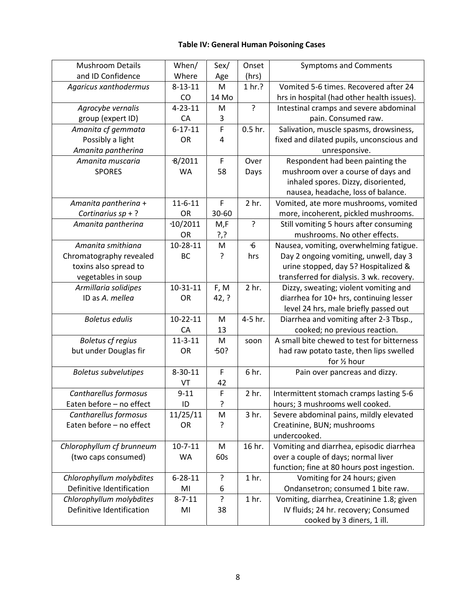## Table IV: General Human Poisoning Cases

| <b>Mushroom Details</b>     | When/          | Sex/        | Onset            | <b>Symptoms and Comments</b>               |
|-----------------------------|----------------|-------------|------------------|--------------------------------------------|
| and ID Confidence           | Where          | Age         | (hrs)            |                                            |
| Agaricus xanthodermus       | $8 - 13 - 11$  | M           | 1 hr.?           | Vomited 5-6 times. Recovered after 24      |
|                             | CO             | 14 Mo       |                  | hrs in hospital (had other health issues). |
| Agrocybe vernalis           | $4 - 23 - 11$  | M           | $\cdot$          | Intestinal cramps and severe abdominal     |
| group (expert ID)           | CA             | 3           |                  | pain. Consumed raw.                        |
| Amanita cf gemmata          | $6 - 17 - 11$  | F           | $0.5$ hr.        | Salivation, muscle spasms, drowsiness,     |
| Possibly a light            | OR             | 4           |                  | fixed and dilated pupils, unconscious and  |
| Amanita pantherina          |                |             |                  | unresponsive.                              |
| Amanita muscaria            | 8/2011         | $\mathsf F$ | Over             | Respondent had been painting the           |
| <b>SPORES</b>               | <b>WA</b>      | 58          | Days             | mushroom over a course of days and         |
|                             |                |             |                  | inhaled spores. Dizzy, disoriented,        |
|                             |                |             |                  | nausea, headache, loss of balance.         |
| Amanita pantherina +        | $11 - 6 - 11$  | $\mathsf F$ | 2 hr.            | Vomited, ate more mushrooms, vomited       |
| Cortinarius $sp + ?$        | OR             | 30-60       |                  | more, incoherent, pickled mushrooms.       |
| Amanita pantherina          | $-10/2011$     | M,F         | ?                | Still vomiting 5 hours after consuming     |
|                             | OR             | ?,?         |                  | mushrooms. No other effects.               |
| Amanita smithiana           | 10-28-11       | M           | $\mathbf{6}$     | Nausea, vomiting, overwhelming fatigue.    |
| Chromatography revealed     | <b>BC</b>      | ?           | hrs              | Day 2 ongoing vomiting, unwell, day 3      |
| toxins also spread to       |                |             |                  | urine stopped, day 5? Hospitalized &       |
| vegetables in soup          |                |             |                  | transferred for dialysis. 3 wk. recovery.  |
| Armillaria solidipes        | $10 - 31 - 11$ | F, M        | 2 <sub>hr.</sub> | Dizzy, sweating; violent vomiting and      |
| ID as A. mellea             | OR             | 42, ?       |                  | diarrhea for 10+ hrs, continuing lesser    |
|                             |                |             |                  | level 24 hrs, male briefly passed out      |
| <b>Boletus edulis</b>       | $10-22-11$     | M           | $4 - 5$ hr.      | Diarrhea and vomiting after 2-3 Tbsp.,     |
|                             | CA             | 13          |                  | cooked; no previous reaction.              |
| <b>Boletus cf regius</b>    | $11 - 3 - 11$  | M           | soon             | A small bite chewed to test for bitterness |
| but under Douglas fir       | OR             | $-50?$      |                  | had raw potato taste, then lips swelled    |
|                             |                |             |                  | for 1/2 hour                               |
| <b>Boletus subvelutipes</b> | $8 - 30 - 11$  | F           | 6 hr.            | Pain over pancreas and dizzy.              |
|                             | VT             | 42          |                  |                                            |
| Cantharellus formosus       | $9 - 11$       | $\mathsf F$ | 2 hr.            | Intermittent stomach cramps lasting 5-6    |
| Eaten before - no effect    | ID             | ?           |                  | hours; 3 mushrooms well cooked.            |
| Cantharellus formosus       | 11/25/11       | M           | 3 hr.            | Severe abdominal pains, mildly elevated    |
| Eaten before - no effect    | <b>OR</b>      | ?           |                  | Creatinine, BUN; mushrooms                 |
|                             |                |             |                  | undercooked.                               |
| Chlorophyllum cf brunneum   | $10 - 7 - 11$  | M           | 16 hr.           | Vomiting and diarrhea, episodic diarrhea   |
| (two caps consumed)         | <b>WA</b>      | 60s         |                  | over a couple of days; normal liver        |
|                             |                |             |                  | function; fine at 80 hours post ingestion. |
| Chlorophyllum molybdites    | $6 - 28 - 11$  | ?           | 1 <sub>hr.</sub> | Vomiting for 24 hours; given               |
| Definitive Identification   | MI             | 6           |                  | Ondansetron; consumed 1 bite raw.          |
| Chlorophyllum molybdites    | $8 - 7 - 11$   | ?           | 1 <sub>hr.</sub> | Vomiting, diarrhea, Creatinine 1.8; given  |
| Definitive Identification   | MI             | 38          |                  | IV fluids; 24 hr. recovery; Consumed       |
|                             |                |             |                  | cooked by 3 diners, 1 ill.                 |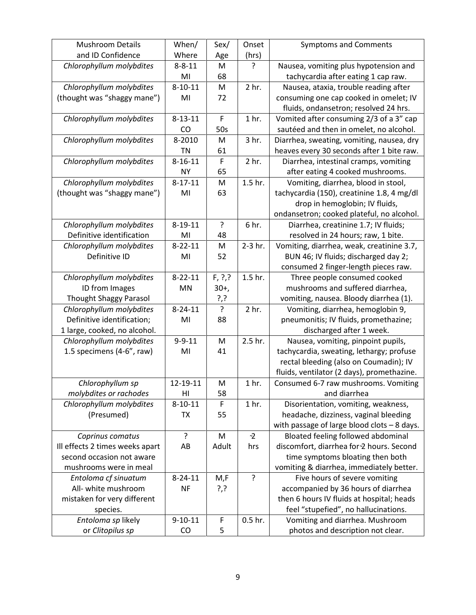| <b>Mushroom Details</b>         | When/         | Sex/        | Onset            | <b>Symptoms and Comments</b>                 |
|---------------------------------|---------------|-------------|------------------|----------------------------------------------|
| and ID Confidence               | Where         | Age         | (hrs)            |                                              |
| Chlorophyllum molybdites        | $8 - 8 - 11$  | M           | ŗ                | Nausea, vomiting plus hypotension and        |
|                                 | MI            | 68          |                  | tachycardia after eating 1 cap raw.          |
| Chlorophyllum molybdites        | $8 - 10 - 11$ | M           | 2 hr.            | Nausea, ataxia, trouble reading after        |
| (thought was "shaggy mane")     | MI            | 72          |                  | consuming one cap cooked in omelet; IV       |
|                                 |               |             |                  | fluids, ondansetron; resolved 24 hrs.        |
| Chlorophyllum molybdites        | $8 - 13 - 11$ | F           | 1 <sub>hr.</sub> | Vomited after consuming 2/3 of a 3" cap      |
|                                 | CO            | 50s         |                  | sautéed and then in omelet, no alcohol.      |
| Chlorophyllum molybdites        | 8-2010        | M           | 3 hr.            | Diarrhea, sweating, vomiting, nausea, dry    |
|                                 | <b>TN</b>     | 61          |                  | heaves every 30 seconds after 1 bite raw.    |
| Chlorophyllum molybdites        | $8 - 16 - 11$ | $\mathsf F$ | 2 hr.            | Diarrhea, intestinal cramps, vomiting        |
|                                 | <b>NY</b>     | 65          |                  | after eating 4 cooked mushrooms.             |
| Chlorophyllum molybdites        | $8 - 17 - 11$ | M           | 1.5 hr.          | Vomiting, diarrhea, blood in stool,          |
| (thought was "shaggy mane")     | MI            | 63          |                  | tachycardia (150), creatinine 1.8, 4 mg/dl   |
|                                 |               |             |                  | drop in hemoglobin; IV fluids,               |
|                                 |               |             |                  | ondansetron; cooked plateful, no alcohol.    |
| Chlorophyllum molybdites        | $8 - 19 - 11$ | ?           | 6 hr.            | Diarrhea, creatinine 1.7; IV fluids;         |
| Definitive identification       | MI            | 48          |                  | resolved in 24 hours; raw, 1 bite.           |
| Chlorophyllum molybdites        | $8 - 22 - 11$ | M           | 2-3 hr.          | Vomiting, diarrhea, weak, creatinine 3.7,    |
| Definitive ID                   | MI            | 52          |                  | BUN 46; IV fluids; discharged day 2;         |
|                                 |               |             |                  | consumed 2 finger-length pieces raw.         |
| Chlorophyllum molybdites        | $8 - 22 - 11$ | F, ?        | 1.5 hr.          | Three people consumed cooked                 |
| ID from Images                  | MN            | $30+,$      |                  | mushrooms and suffered diarrhea,             |
| <b>Thought Shaggy Parasol</b>   |               | ?,?         |                  | vomiting, nausea. Bloody diarrhea (1).       |
| Chlorophyllum molybdites        | $8 - 24 - 11$ | ?           | 2 hr.            | Vomiting, diarrhea, hemoglobin 9,            |
| Definitive identification;      | MI            | 88          |                  | pneumonitis; IV fluids, promethazine;        |
| 1 large, cooked, no alcohol.    |               |             |                  | discharged after 1 week.                     |
| Chlorophyllum molybdites        | $9 - 9 - 11$  | M           | 2.5 hr.          | Nausea, vomiting, pinpoint pupils,           |
| 1.5 specimens (4-6", raw)       | MI            | 41          |                  | tachycardia, sweating, lethargy; profuse     |
|                                 |               |             |                  | rectal bleeding (also on Coumadin); IV       |
|                                 |               |             |                  | fluids, ventilator (2 days), promethazine.   |
| Chlorophyllum sp                | 12-19-11      | M           | 1 <sub>hr.</sub> | Consumed 6-7 raw mushrooms. Vomiting         |
| molybdites or rachodes          | HI            | 58          |                  | and diarrhea                                 |
| Chlorophyllum molybdites        | $8 - 10 - 11$ | F           | 1 <sub>hr.</sub> | Disorientation, vomiting, weakness,          |
| (Presumed)                      | <b>TX</b>     | 55          |                  | headache, dizziness, vaginal bleeding        |
|                                 |               |             |                  | with passage of large blood clots $-8$ days. |
| Coprinus comatus                | ?             | M           | $-2$             | Bloated feeling followed abdominal           |
| Ill effects 2 times weeks apart | AB            | Adult       | hrs              | discomfort, diarrhea for 2 hours. Second     |
| second occasion not aware       |               |             |                  | time symptoms bloating then both             |
| mushrooms were in meal          |               |             |                  | vomiting & diarrhea, immediately better.     |
| Entoloma cf sinuatum            | $8 - 24 - 11$ | M,F         | ?                | Five hours of severe vomiting                |
| All- white mushroom             | <b>NF</b>     | ?,?         |                  | accompanied by 36 hours of diarrhea          |
| mistaken for very different     |               |             |                  | then 6 hours IV fluids at hospital; heads    |
| species.                        |               |             |                  | feel "stupefied", no hallucinations.         |
| Entoloma sp likely              | $9 - 10 - 11$ | $\mathsf F$ | $0.5$ hr.        | Vomiting and diarrhea. Mushroom              |
| or Clitopilus sp                | CO            | 5           |                  | photos and description not clear.            |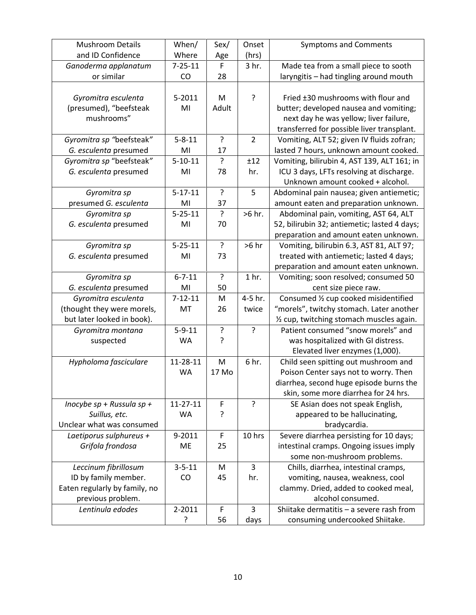| <b>Mushroom Details</b>       | When/          | Sex/           | Onset            | <b>Symptoms and Comments</b>                 |
|-------------------------------|----------------|----------------|------------------|----------------------------------------------|
| and ID Confidence             | Where          | Age            | (hrs)            |                                              |
| Ganoderma applanatum          | $7 - 25 - 11$  | $\mathsf F$    | 3 hr.            | Made tea from a small piece to sooth         |
| or similar                    | CO             | 28             |                  | laryngitis - had tingling around mouth       |
|                               |                |                |                  |                                              |
| Gyromitra esculenta           | 5-2011         | M              | ?                | Fried ±30 mushrooms with flour and           |
| (presumed), "beefsteak        | MI             | Adult          |                  | butter; developed nausea and vomiting;       |
| mushrooms"                    |                |                |                  | next day he was yellow; liver failure,       |
|                               |                |                |                  | transferred for possible liver transplant.   |
| Gyromitra sp "beefsteak"      | $5 - 8 - 11$   | ?              | 2                | Vomiting, ALT 52; given IV fluids zofran;    |
| G. esculenta presumed         | MI             | 17             |                  | lasted 7 hours, unknown amount cooked.       |
| Gyromitra sp "beefsteak"      | $5 - 10 - 11$  | ?              | ±12              | Vomiting, bilirubin 4, AST 139, ALT 161; in  |
| G. esculenta presumed         | MI             | 78             | hr.              | ICU 3 days, LFTs resolving at discharge.     |
|                               |                |                |                  | Unknown amount cooked + alcohol.             |
| Gyromitra sp                  | $5 - 17 - 11$  | ?              | 5                | Abdominal pain nausea; given antiemetic;     |
| presumed G. esculenta         | MI             | 37             |                  | amount eaten and preparation unknown.        |
| Gyromitra sp                  | $5 - 25 - 11$  | $\tilde{.}$    | >6 hr.           | Abdominal pain, vomiting, AST 64, ALT        |
| G. esculenta presumed         | MI             | 70             |                  | 52, bilirubin 32; antiemetic; lasted 4 days; |
|                               |                |                |                  | preparation and amount eaten unknown.        |
| Gyromitra sp                  | $5 - 25 - 11$  | $\overline{?}$ | $>6$ hr          | Vomiting, bilirubin 6.3, AST 81, ALT 97;     |
| G. esculenta presumed         | MI             | 73             |                  | treated with antiemetic; lasted 4 days;      |
|                               |                |                |                  | preparation and amount eaten unknown.        |
| Gyromitra sp                  | $6 - 7 - 11$   | ?              | 1 <sub>hr.</sub> | Vomiting; soon resolved; consumed 50         |
| G. esculenta presumed         | MI             | 50             |                  | cent size piece raw.                         |
| Gyromitra esculenta           | $7 - 12 - 11$  | M              | 4-5 hr.          | Consumed 1/2 cup cooked misidentified        |
| (thought they were morels,    | MT             | 26             | twice            | "morels", twitchy stomach. Later another     |
| but later looked in book).    |                |                |                  | 1/2 cup, twitching stomach muscles again.    |
| Gyromitra montana             | $5 - 9 - 11$   | ŗ              | $\overline{?}$   | Patient consumed "snow morels" and           |
| suspected                     | <b>WA</b>      | ?              |                  | was hospitalized with GI distress.           |
|                               |                |                |                  | Elevated liver enzymes (1,000).              |
| Hypholoma fasciculare         | 11-28-11       | M              | 6 hr.            | Child seen spitting out mushroom and         |
|                               | <b>WA</b>      | 17 Mo          |                  | Poison Center says not to worry. Then        |
|                               |                |                |                  | diarrhea, second huge episode burns the      |
|                               |                |                |                  | skin, some more diarrhea for 24 hrs.         |
| Inocybe $sp + R$ ussula sp +  | $11 - 27 - 11$ | F              | ?                | SE Asian does not speak English,             |
| Suillus, etc.                 | WA             | ?              |                  | appeared to be hallucinating,                |
| Unclear what was consumed     |                |                |                  | bradycardia.                                 |
| Laetiporus sulphureus +       | 9-2011         | F              | 10 hrs           | Severe diarrhea persisting for 10 days;      |
| Grifola frondosa              | ME             | 25             |                  | intestinal cramps. Ongoing issues imply      |
|                               |                |                |                  | some non-mushroom problems.                  |
| Leccinum fibrillosum          | $3 - 5 - 11$   | M              | $\overline{3}$   | Chills, diarrhea, intestinal cramps,         |
| ID by family member.          | CO             | 45             | hr.              | vomiting, nausea, weakness, cool             |
| Eaten regularly by family, no |                |                |                  | clammy. Dried, added to cooked meal,         |
| previous problem.             |                |                |                  | alcohol consumed.                            |
| Lentinula edodes              | 2-2011         | F              | 3                | Shiitake dermatitis - a severe rash from     |
|                               | ?              | 56             | days             | consuming undercooked Shiitake.              |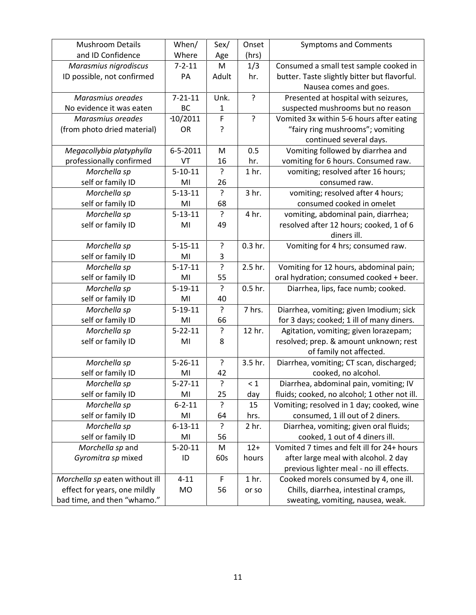| <b>Mushroom Details</b>        | When/          | Sex/           | Onset            | <b>Symptoms and Comments</b>                 |
|--------------------------------|----------------|----------------|------------------|----------------------------------------------|
| and ID Confidence              | Where          | Age            | (hrs)            |                                              |
| Marasmius nigrodiscus          | $7 - 2 - 11$   | M              | 1/3              | Consumed a small test sample cooked in       |
| ID possible, not confirmed     | PA             | Adult          | hr.              | butter. Taste slightly bitter but flavorful. |
|                                |                |                |                  | Nausea comes and goes.                       |
| Marasmius oreades              | $7 - 21 - 11$  | Unk.           | ?                | Presented at hospital with seizures,         |
| No evidence it was eaten       | BC             | 1              |                  | suspected mushrooms but no reason            |
| Marasmius oreades              | $-10/2011$     | F              | ?                | Vomited 3x within 5-6 hours after eating     |
| (from photo dried material)    | <b>OR</b>      | ?              |                  | "fairy ring mushrooms"; vomiting             |
|                                |                |                |                  | continued several days.                      |
| Megacollybia platyphylla       | $6 - 5 - 2011$ | M              | 0.5              | Vomiting followed by diarrhea and            |
| professionally confirmed       | VT             | 16             | hr.              | vomiting for 6 hours. Consumed raw.          |
| Morchella sp                   | $5 - 10 - 11$  | 5.             | 1 <sub>hr.</sub> | vomiting; resolved after 16 hours;           |
| self or family ID              | MI             | 26             |                  | consumed raw.                                |
| Morchella sp                   | $5 - 13 - 11$  | ?              | 3 hr.            | vomiting; resolved after 4 hours;            |
| self or family ID              | MI             | 68             |                  | consumed cooked in omelet                    |
| Morchella sp                   | $5 - 13 - 11$  | ?              | 4 hr.            | vomiting, abdominal pain, diarrhea;          |
| self or family ID              | MI             | 49             |                  | resolved after 12 hours; cooked, 1 of 6      |
|                                |                |                |                  | diners ill.                                  |
| Morchella sp                   | $5 - 15 - 11$  | ?              | $0.3$ hr.        | Vomiting for 4 hrs; consumed raw.            |
| self or family ID              | MI             | 3              |                  |                                              |
| Morchella sp                   | $5 - 17 - 11$  | $\overline{?}$ | 2.5 hr.          | Vomiting for 12 hours, abdominal pain;       |
| self or family ID              | MI             | 55             |                  | oral hydration; consumed cooked + beer.      |
| Morchella sp                   | $5 - 19 - 11$  | ŗ              | $0.5$ hr.        | Diarrhea, lips, face numb; cooked.           |
| self or family ID              | MI             | 40             |                  |                                              |
| Morchella sp                   | $5-19-11$      | ?              | 7 hrs.           | Diarrhea, vomiting; given Imodium; sick      |
| self or family ID              | MI             | 66             |                  | for 3 days; cooked; 1 ill of many diners.    |
| Morchella sp                   | $5 - 22 - 11$  | ?              | 12 hr.           | Agitation, vomiting; given lorazepam;        |
| self or family ID              | MI             | 8              |                  | resolved; prep. & amount unknown; rest       |
|                                |                |                |                  | of family not affected.                      |
| Morchella sp                   | $5 - 26 - 11$  | $\cdot$        | 3.5 hr.          | Diarrhea, vomiting; CT scan, discharged;     |
| self or family ID              | MI             | 42             |                  | cooked, no alcohol.                          |
| Morchella sp                   | $5 - 27 - 11$  | ?              | $\leq 1$         | Diarrhea, abdominal pain, vomiting; IV       |
| self or family ID              | MI             | 25             | day              | fluids; cooked, no alcohol; 1 other not ill. |
| Morchella sp                   | $6 - 2 - 11$   | ?              | 15               | Vomiting; resolved in 1 day; cooked, wine    |
| self or family ID              | MI             | 64             | hrs.             | consumed, 1 ill out of 2 diners.             |
| Morchella sp                   | $6 - 13 - 11$  | ?              | 2 hr.            | Diarrhea, vomiting; given oral fluids;       |
| self or family ID              | MI             | 56             |                  | cooked, 1 out of 4 diners ill.               |
| Morchella sp and               | $5 - 20 - 11$  | M              | $12+$            | Vomited 7 times and felt ill for 24+ hours   |
| Gyromitra sp mixed             | ID             | 60s            | hours            | after large meal with alcohol. 2 day         |
|                                |                |                |                  | previous lighter meal - no ill effects.      |
| Morchella sp eaten without ill | $4 - 11$       | F              | 1 <sub>hr.</sub> | Cooked morels consumed by 4, one ill.        |
| effect for years, one mildly   | MO             | 56             | or so            | Chills, diarrhea, intestinal cramps,         |
| bad time, and then "whamo."    |                |                |                  | sweating, vomiting, nausea, weak.            |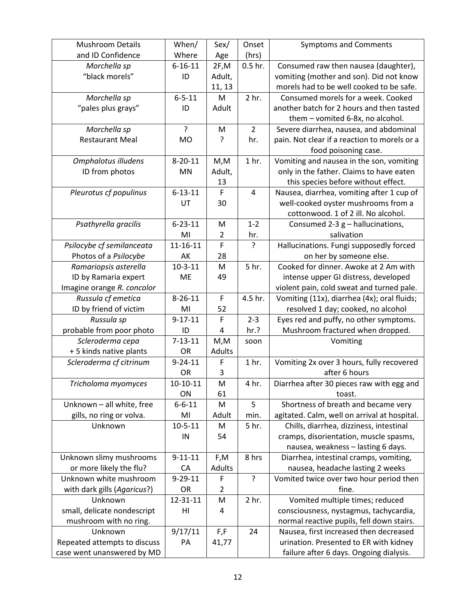| <b>Mushroom Details</b>      | When/         | Sex/          | Onset            | <b>Symptoms and Comments</b>                 |
|------------------------------|---------------|---------------|------------------|----------------------------------------------|
| and ID Confidence            | Where         | Age           | (hrs)            |                                              |
| Morchella sp                 | $6 - 16 - 11$ | 2F, M         | $0.5$ hr.        | Consumed raw then nausea (daughter),         |
| "black morels"               | ID            | Adult,        |                  | vomiting (mother and son). Did not know      |
|                              |               | 11, 13        |                  | morels had to be well cooked to be safe.     |
| Morchella sp                 | $6 - 5 - 11$  | M             | 2 hr.            | Consumed morels for a week. Cooked           |
| "pales plus grays"           | ID            | Adult         |                  | another batch for 2 hours and then tasted    |
|                              |               |               |                  | them - vomited 6-8x, no alcohol.             |
| Morchella sp                 | ?             | M             | $\overline{2}$   | Severe diarrhea, nausea, and abdominal       |
| <b>Restaurant Meal</b>       | <b>MO</b>     | ?             | hr.              | pain. Not clear if a reaction to morels or a |
|                              |               |               |                  | food poisoning case.                         |
| Omphalotus illudens          | $8 - 20 - 11$ | M, M          | 1 <sub>hr.</sub> | Vomiting and nausea in the son, vomiting     |
| ID from photos               | <b>MN</b>     | Adult,        |                  | only in the father. Claims to have eaten     |
|                              |               | 13            |                  | this species before without effect.          |
| Pleurotus cf populinus       | $6 - 13 - 11$ | F             | $\overline{4}$   | Nausea, diarrhea, vomiting after 1 cup of    |
|                              | UT            | 30            |                  | well-cooked oyster mushrooms from a          |
|                              |               |               |                  | cottonwood. 1 of 2 ill. No alcohol.          |
| Psathyrella gracilis         | $6 - 23 - 11$ | M             | $1 - 2$          | Consumed 2-3 $g$ – hallucinations,           |
|                              | MI            | 2             | hr.              | salivation                                   |
| Psilocybe cf semilanceata    | 11-16-11      | F             | ?                | Hallucinations. Fungi supposedly forced      |
| Photos of a Psilocybe        | AK            | 28            |                  | on her by someone else.                      |
| Ramariopsis asterella        | $10 - 3 - 11$ | M             | 5 hr.            | Cooked for dinner. Awoke at 2 Am with        |
| ID by Ramaria expert         | ME            | 49            |                  | intense upper GI distress, developed         |
| Imagine orange R. concolor   |               |               |                  | violent pain, cold sweat and turned pale.    |
| Russula cf emetica           | $8 - 26 - 11$ | F             | 4.5 hr.          | Vomiting (11x), diarrhea (4x); oral fluids;  |
| ID by friend of victim       | MI            | 52            |                  | resolved 1 day; cooked, no alcohol           |
| Russula sp                   | $9 - 17 - 11$ | F             | $2 - 3$          | Eyes red and puffy, no other symptoms.       |
| probable from poor photo     | ID            | 4             | hr.?             | Mushroom fractured when dropped.             |
| Scleroderma cepa             | $7 - 13 - 11$ | M, M          | soon             | Vomiting                                     |
| + 5 kinds native plants      | OR            | Adults        |                  |                                              |
| Scleroderma cf citrinum      | $9 - 24 - 11$ | F             | 1 <sub>hr.</sub> | Vomiting 2x over 3 hours, fully recovered    |
|                              | OR            | 3             |                  | after 6 hours                                |
| Tricholoma myomyces          | $10-10-11$    | M             | 4 hr.            | Diarrhea after 30 pieces raw with egg and    |
|                              | ON            | 61            |                  | toast.                                       |
| Unknown - all white, free    | $6 - 6 - 11$  | M             | 5                | Shortness of breath and became very          |
| gills, no ring or volva.     | MI            | Adult         | min.             | agitated. Calm, well on arrival at hospital. |
| Unknown                      | $10 - 5 - 11$ | M             | 5 hr.            | Chills, diarrhea, dizziness, intestinal      |
|                              | IN            | 54            |                  | cramps, disorientation, muscle spasms,       |
|                              |               |               |                  | nausea, weakness - lasting 6 days.           |
| Unknown slimy mushrooms      | $9 - 11 - 11$ | F,M           | 8 hrs            | Diarrhea, intestinal cramps, vomiting,       |
| or more likely the flu?      | <b>CA</b>     | <b>Adults</b> |                  | nausea, headache lasting 2 weeks             |
| Unknown white mushroom       | $9 - 29 - 11$ | F             | ?                | Vomited twice over two hour period then      |
| with dark gills (Agaricus?)  | OR            | 2             |                  | fine.                                        |
| Unknown                      | 12-31-11      | M             | 2 hr.            | Vomited multiple times; reduced              |
| small, delicate nondescript  | HI            | 4             |                  | consciousness, nystagmus, tachycardia,       |
| mushroom with no ring.       |               |               |                  | normal reactive pupils, fell down stairs.    |
| Unknown                      | 9/17/11       | F,F           | 24               | Nausea, first increased then decreased       |
| Repeated attempts to discuss | PA            | 41,77         |                  | urination. Presented to ER with kidney       |
| case went unanswered by MD   |               |               |                  | failure after 6 days. Ongoing dialysis.      |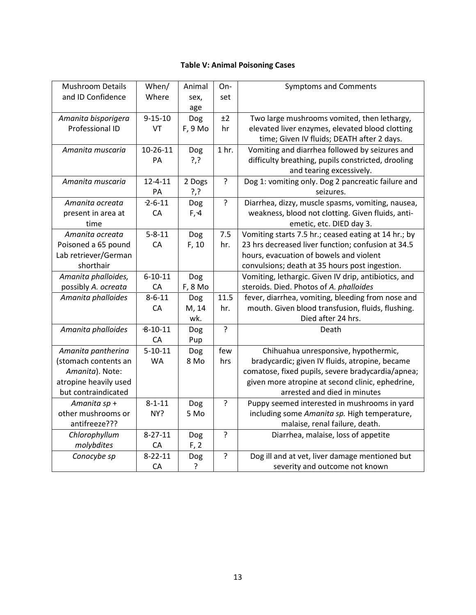## Table V: Animal Poisoning Cases

| <b>Mushroom Details</b> | When/         | Animal  | On-              | <b>Symptoms and Comments</b>                         |
|-------------------------|---------------|---------|------------------|------------------------------------------------------|
| and ID Confidence       | Where         | sex,    | set              |                                                      |
|                         |               | age     |                  |                                                      |
| Amanita bisporigera     | $9 - 15 - 10$ | Dog     | ±2               | Two large mushrooms vomited, then lethargy,          |
| Professional ID         | VT            | F, 9 Mo | hr               | elevated liver enzymes, elevated blood clotting      |
|                         |               |         |                  | time; Given IV fluids; DEATH after 2 days.           |
| Amanita muscaria        | $10-26-11$    | Dog     | 1 <sub>hr.</sub> | Vomiting and diarrhea followed by seizures and       |
|                         | PA            | ?,?     |                  | difficulty breathing, pupils constricted, drooling   |
|                         |               |         |                  | and tearing excessively.                             |
| Amanita muscaria        | $12 - 4 - 11$ | 2 Dogs  | ?                | Dog 1: vomiting only. Dog 2 pancreatic failure and   |
|                         | PA            | ?,?     |                  | seizures.                                            |
| Amanita ocreata         | $-2 - 6 - 11$ | Dog     | ?                | Diarrhea, dizzy, muscle spasms, vomiting, nausea,    |
| present in area at      | CA            | F, 4    |                  | weakness, blood not clotting. Given fluids, anti-    |
| time                    |               |         |                  | emetic, etc. DIED day 3.                             |
| Amanita ocreata         | $5 - 8 - 11$  | Dog     | 7.5              | Vomiting starts 7.5 hr.; ceased eating at 14 hr.; by |
| Poisoned a 65 pound     | CA            | F, 10   | hr.              | 23 hrs decreased liver function; confusion at 34.5   |
| Lab retriever/German    |               |         |                  | hours, evacuation of bowels and violent              |
| shorthair               |               |         |                  | convulsions; death at 35 hours post ingestion.       |
| Amanita phalloides,     | $6 - 10 - 11$ | Dog     |                  | Vomiting, lethargic. Given IV drip, antibiotics, and |
| possibly A. ocreata     | CA            | F, 8 Mo |                  | steroids. Died. Photos of A. phalloides              |
| Amanita phalloides      | $8 - 6 - 11$  | Dog     | 11.5             | fever, diarrhea, vomiting, bleeding from nose and    |
|                         | CA            | M, 14   | hr.              | mouth. Given blood transfusion, fluids, flushing.    |
|                         |               | wk.     |                  | Died after 24 hrs.                                   |
| Amanita phalloides      | $8 - 10 - 11$ | Dog     | $\overline{?}$   | Death                                                |
|                         | CA            | Pup     |                  |                                                      |
| Amanita pantherina      | $5 - 10 - 11$ | Dog     | few              | Chihuahua unresponsive, hypothermic,                 |
| (stomach contents an    | <b>WA</b>     | 8 Mo    | hrs              | bradycardic; given IV fluids, atropine, became       |
| Amanita). Note:         |               |         |                  | comatose, fixed pupils, severe bradycardia/apnea;    |
| atropine heavily used   |               |         |                  | given more atropine at second clinic, ephedrine,     |
| but contraindicated     |               |         |                  | arrested and died in minutes                         |
| Amanita sp +            | $8 - 1 - 11$  | Dog     | ?                | Puppy seemed interested in mushrooms in yard         |
| other mushrooms or      | NY?           | 5 Mo    |                  | including some Amanita sp. High temperature,         |
| antifreeze???           |               |         |                  | malaise, renal failure, death.                       |
| Chlorophyllum           | $8 - 27 - 11$ | Dog     | $\overline{?}$   | Diarrhea, malaise, loss of appetite                  |
| molybdites              | CA            | F, 2    |                  |                                                      |
| Conocybe sp             | $8 - 22 - 11$ | Dog     | ?                | Dog ill and at vet, liver damage mentioned but       |
|                         | CA            | ?       |                  | severity and outcome not known                       |